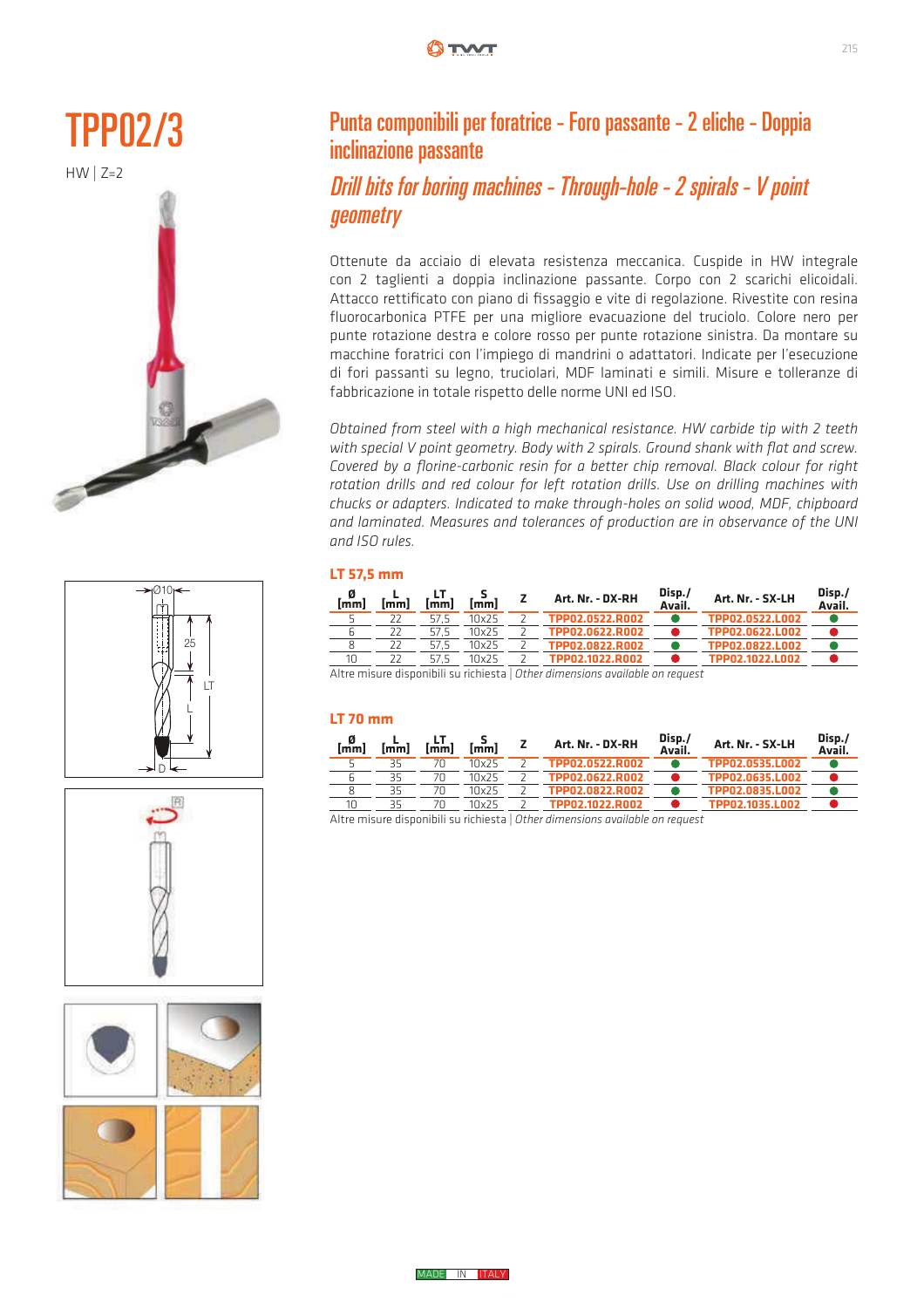









### Punta componibili per foratrice - Foro passante - 2 eliche - Doppia inclinazione passante

### Drill bits for boring machines - Through-hole - 2 spirals - V point **geometry**

Ottenute da acciaio di elevata resistenza meccanica. Cuspide in HW integrale con 2 taglienti a doppia inclinazione passante. Corpo con 2 scarichi elicoidali. Attacco rettificato con piano di fissaggio e vite di regolazione. Rivestite con resina fluorocarbonica PTFE per una migliore evacuazione del truciolo. Colore nero per punte rotazione destra e colore rosso per punte rotazione sinistra. Da montare su macchine foratrici con l'impiego di mandrini o adattatori. Indicate per l'esecuzione di fori passanti su legno, truciolari, MDF laminati e simili. Misure e tolleranze di fabbricazione in totale rispetto delle norme UNI ed ISO.

Obtained from steel with a high mechanical resistance. HW carbide tip with 2 teeth with special V point geometry. Body with 2 spirals. Ground shank with flat and screw. Covered by a florine-carbonic resin for a better chip removal. Black colour for right rotation drills and red colour for left rotation drills. Use on drilling machines with chucks or adapters. Indicated to make through-holes on solid wood, MDF, chipboard and laminated. Measures and tolerances of production are in observance of the UNI and ISO rules. **DGDSWHGWRPDNHWKWRPDNHWKWRPDNHWKWRPDNHW** Obtained from steel with a high mechanical resistance. Hvv carbiae tip with 2 teeth zhuand of udupters. Mulcuted to have though holes of some wood, MDF, chipbourg

### **LT 57,5 mm**

| . 0<br>[mm] | lmml     | [mm] | [mm]              | Art. Nr. - DX-RH | Disp./<br>Avail. | Art. Nr. - SX-LH | Disp./<br>Avail. |
|-------------|----------|------|-------------------|------------------|------------------|------------------|------------------|
|             |          |      | 10x25             | TPP02.0522.R002  |                  | TPP02.0522.L002  |                  |
|             |          |      | 10x25             | TPP02.0622.R002  |                  | TPP02.0622.L002  |                  |
|             |          |      | 10x25             | TPP02.0822.R002  |                  | TPP02.0822.L002  |                  |
| 10          |          | 57.5 | 10x25             | TPP02.1022.R002  |                  | TPP02.1022.L002  |                  |
| $A + A$     | $\cdots$ |      | $\cdots$ $\cdots$ | <br>$\cdots$     |                  |                  |                  |

Altre misure disponibili su richiesta | *Other dimensions available on request* ! : 7!6 : 7!<

#### **LT 70 mm**  $\mathbf{m}$  : 7  $\mathbf{m}$  : 7  $\mathbf{m}$  : 7  $\mathbf{m}$  : 7  $\mathbf{m}$  : 7  $\mathbf{m}$  : 7  $\mathbf{m}$  : 7  $\mathbf{m}$  : 7  $\mathbf{m}$  : 7  $\mathbf{m}$  : 7  $\mathbf{m}$  : 7  $\mathbf{m}$  : 7  $\mathbf{m}$  : 7  $\mathbf{m}$  : 7  $\mathbf{m}$  : 7  $\mathbf{m}$  : 7  $\mathbf{m}$  : 7

| lmml | [mm]     | <b>Imml</b> | lmml            | Art. Nr. - DX-RH | Disp./<br>Avail. | Art. Nr. - SX-LH | Disp./<br>Avail. |
|------|----------|-------------|-----------------|------------------|------------------|------------------|------------------|
|      |          |             | 10x25           | TPP02.0522.R002  |                  | TPP02.0535.L002  |                  |
|      |          |             | 10x25           | TPP02.0622.R002  |                  | TPP02.0635.L002  |                  |
|      |          |             | 10x25           | TPP02.0822.R002  |                  | TPP02.0835.L002  |                  |
|      |          |             | 10x25           | TPP02.1022.R002  |                  | TPP02.1035.L002  |                  |
| .    | $\cdots$ |             | 1.1.1.1.1.0.1.1 | $\cdots$<br>     |                  |                  |                  |

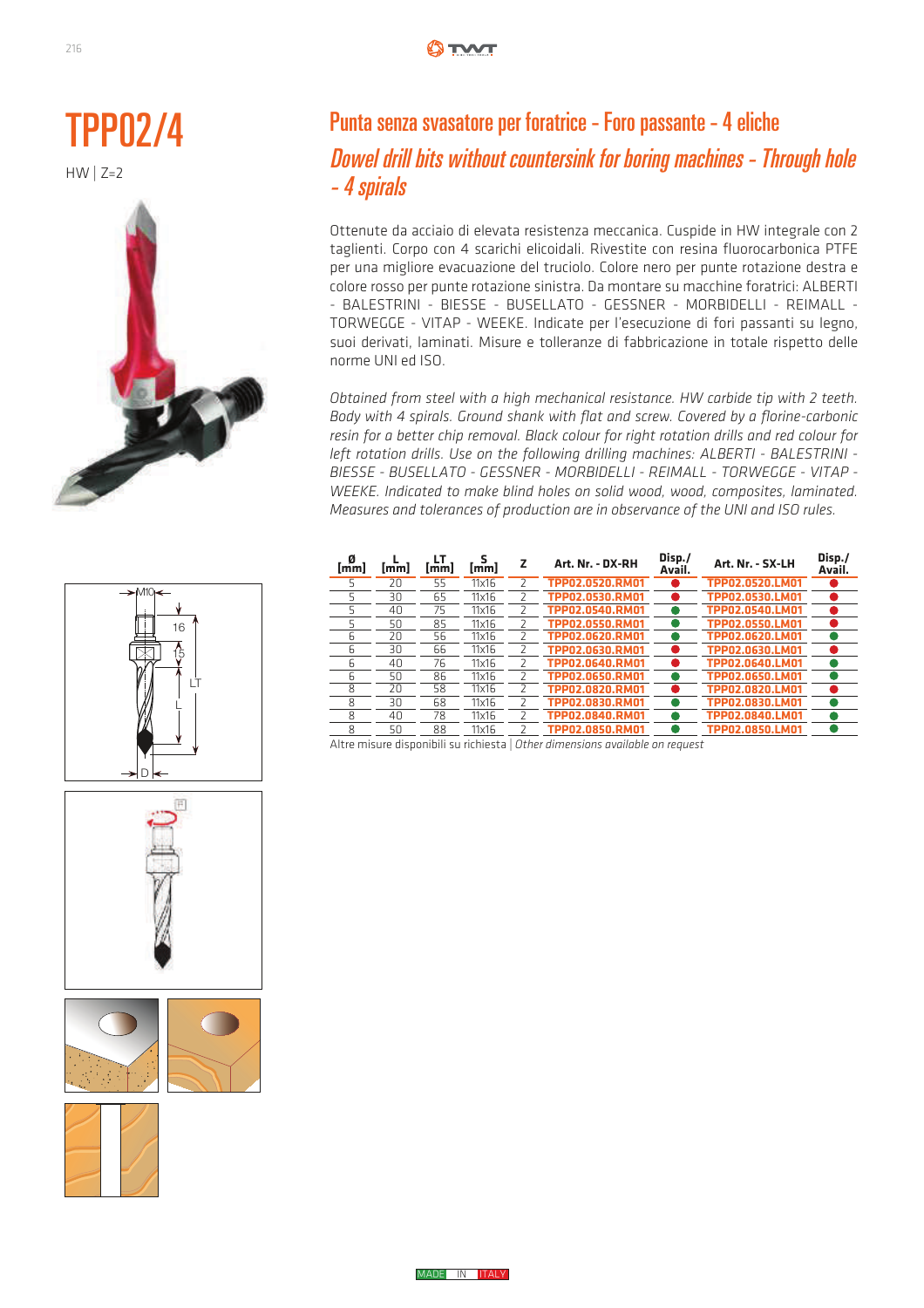











### Punta senza svasatore per foratrice - Foro passante - 4 eliche Dowel drill bits without countersink for boring machines - Through hole - 4 spirals

Ottenute da acciaio di elevata resistenza meccanica. Cuspide in HW integrale con 2 taglienti. Corpo con 4 scarichi elicoidali. Rivestite con resina fluorocarbonica PTFE  $\frac{3}{7}$ er una migliore evacuazione del truciolo. Colore nero per punte rotazione destra e colore rosso per punte rotazione sinistra. Da montare su macchine foratrici: ALBERTI - BALESTRINI - BIESSE - BUSELLATO - GESSNER - MORBIDELLI - REIMALL - TORWEGGE - VITAP - WEEKE. Indicate per l'esecuzione di fori passanti su legno, suoi derivati, laminati. Misure e tolleranze di fabbricazione in totale rispetto delle norme UNI ed ISO.

*Obtained from steel with a high mechanical resistance. HW carbide tip with 2 teeth.*  Body with 4 spirals. Ground shank with flat and screw. Covered by a florine-carbonic body with 4 spirals. Croand shark with flat and screw: covered by a florific carbother resin for a better chip removal. Black colour for right rotation drills and red colour for left rotation drills. Use on the following drilling machines: ALBERTI - BALESTRINI -BIESSE - BUSELLATO - GESSNER - MORBIDELLI - REIMALL - TORWEGGE - VITAP -*WEEKE. Indicated to make blind holes on solid wood, wood, composites, laminated. MEEKE: malcuced to make billid holes off sond wood, wood, composites, laminated.*<br>Measures and tolerances of production are in observance of the UNI and ISO rules. resin for a better chip removal. Black colour for right rotation anils and rea colour for iorula India Indianuel Department of production are in observance of the ONI and ISO rules.

| Ø<br>lmml | lmml | LΤ<br>[mm] | s<br>[mm]    | z | Art. Nr. - DX-RH                                                                        | Disp./<br>Avail. | Art. Nr. - SX-LH | Disp./<br>Avail. |
|-----------|------|------------|--------------|---|-----------------------------------------------------------------------------------------|------------------|------------------|------------------|
| 5         | 20   | 55         | 11x16        |   | TPP02.0520.RM01                                                                         |                  | TPP02.0520.LM01  |                  |
| 5         | 30   | 65         | 11x16        |   | TPP02.0530.RM01                                                                         |                  | TPP02.0530.LM01  |                  |
| 5         | 40   | 75         | 11x16        |   | TPP02.0540.RM01                                                                         |                  | TPP02.0540.LM01  |                  |
| 5         | 50   | 85         | $11\times16$ |   | TPP02.0550.RM01                                                                         |                  | TPP02.0550.LM01  |                  |
| 6         | 20   | 56         | 11x16        |   | TPP02.0620.RM01                                                                         |                  | TPP02.0620.LM01  |                  |
| 6         | 30   | 66         | 11x16        |   | TPP02.0630.RM01                                                                         |                  | TPP02.0630.LM01  |                  |
| 6         | 40   | 76         | 11x16        |   | TPP02.0640.RM01                                                                         |                  | TPP02.0640.LM01  |                  |
| 6         | 50   | 86         | $11\times16$ |   | TPP02.0650.RM01                                                                         |                  | TPP02.0650.LM01  |                  |
| 8         | 20   | 58         | 11x16        |   | TPP02.0820.RM01                                                                         |                  | TPP02.0820.LM01  |                  |
| 8         | 30   | 68         | 11x16        |   | TPP02.0830.RM01                                                                         |                  | TPP02.0830.LM01  |                  |
| 8         | 40   | 78         | $11\times16$ |   | TPP02.0840.RM01                                                                         |                  | TPP02.0840.LM01  |                  |
| 8         | 50   | 88         | $11\times16$ |   | TPP02.0850.RM01                                                                         |                  | TPP02.0850.LM01  |                  |
|           |      |            |              |   | ومستحمد وبمرماط والمسم موماموم ومباله ومطوف الموماط والرباح الطلوم ومعالى مستملون وبوال |                  |                  |                  |



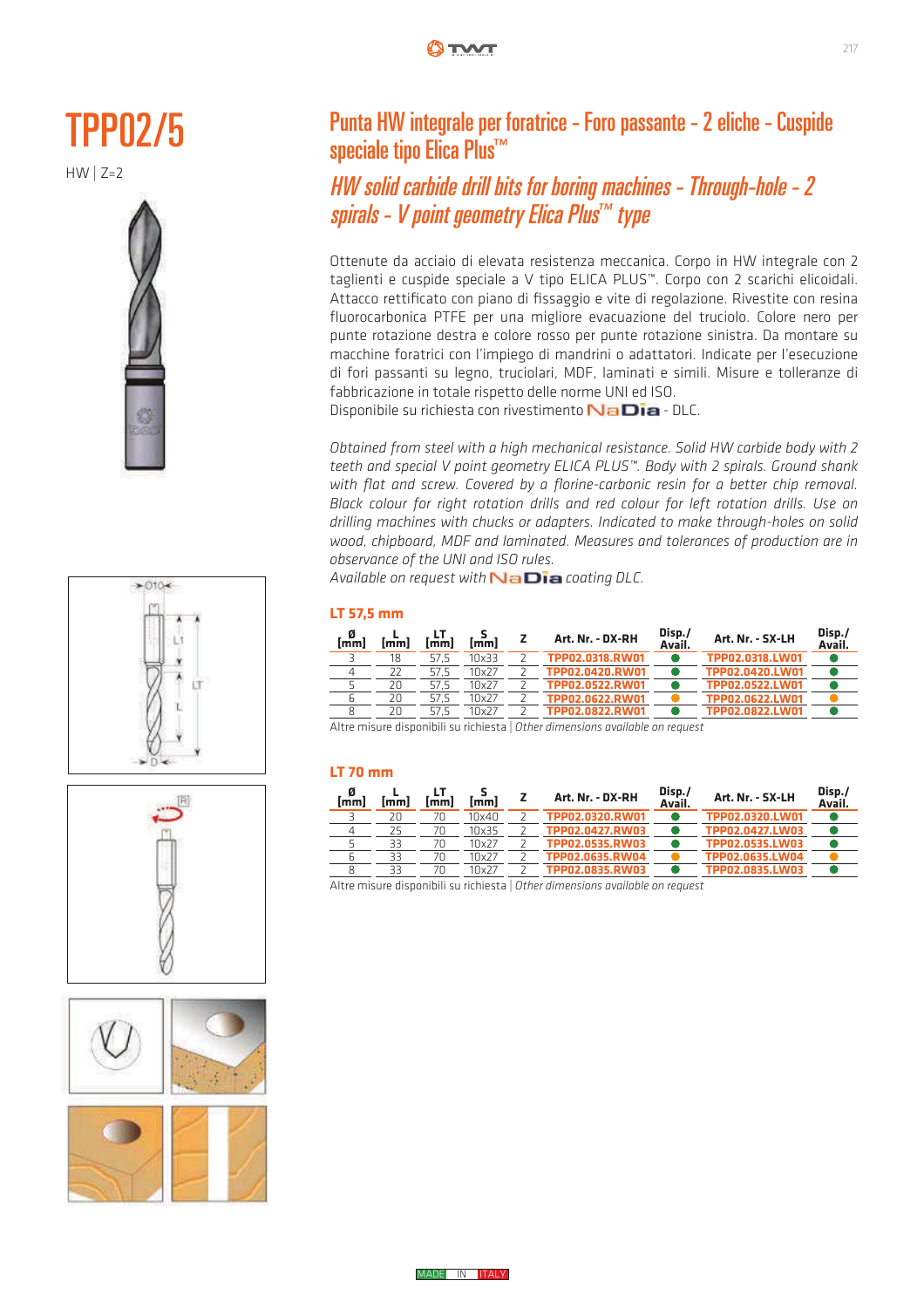# TPP02/5

 $HW \mid Z=2$ 









### Punta HW integrale per foratrice - Foro passante - 2 eliche - Cuspide speciale tipo Elica Plus<sup>™</sup>

HW solid carbide drill bits for boring machines - Through-hole - 2 spirals - V point geometry Elica Plus ™ type

Ottenute da acciaio di elevata resistenza meccanica. Corpo in HW integrale con 2 taglienti e cuspide speciale a V tipo ELICA PLUS™. Corpo con 2 scarichi elicoidali. Attacco rettificato con piano di fissaggio e vite di regolazione. Rivestite con resina fluorocarbonica PTFE per una migliore evacuazione del truciolo. Colore nero per punte rotazione destra e colore rosso per punte rotazione sinistra. Da montare su macchine foratrici con l'impiego di mandrini o adattatori. Indicate per l'esecuzione di fori passanti su legno, truciolari, MDF, laminati e simili. Misure e tolleranze di fabbricazione in totale rispetto delle norme UNI ed ISO.

Disponibile su richiesta con rivestimento **Na Dia** - DLC. Spondic su nemesta commestimento **i vicilista** pec.

Obtained from steel with a high mechanical resistance. Solid HW carbide body with 2 *teeth and special V point geometry ELICA PLUS™. Body with 2 spirals. Ground shank*  with flat and screw. Covered by a florine-carbonic resin for a better chip removal. *Black colour for right rotation drills and red colour for left rotation drills. Use on drilling machines with chucks or adapters. Indicated to make through-holes on solid wood, chipboard, MDF and laminated. Measures and tolerances of production are in observance of the UNI and ISO rules.*  $\overline{\mathcal{L}}$ with full and screw. Covered by a filmine carbonic result for a better chip refliction.

Available on request with **NaDia** coating DLC.

### **LT 57,5 mm**

| 0<br>[mm] | [mm] | lmml | [mm]  | Art. Nr. - DX-RH | Disp./<br>Avail. | Art. Nr. - SX-LH | Disp./<br>Avail. |
|-----------|------|------|-------|------------------|------------------|------------------|------------------|
|           | 18   | 57.5 | 10x33 | TPP02.0318.RW01  |                  | TPP02.0318.LW01  |                  |
|           |      | 57.5 | 10x27 | TPP02.0420.RW01  |                  | TPP02.0420.LW01  |                  |
|           | 20   | 57.5 | 10x27 | TPP02.0522.RW01  |                  | TPP02.0522.LW01  |                  |
|           | 20   | 57.5 | 10x27 | TPP02.0622.RW01  |                  | TPP02.0622.LW01  |                  |
|           | 2Π   | 575  | 10x27 | TPPN2.N822.RWN1  |                  | TPP02.0822.1 W01 |                  |

Altre misure disponibili su richiesta | *Other dimensions available on request*

### **LT 70 mm**

| 0<br>[mm] | [mm] | <i>Imml</i> | $\sim$ | Art. Nr. - DX-RH | Disp./<br>Avail. | Art. Nr. - SX-LH | Disp./<br>Avail. |
|-----------|------|-------------|--------|------------------|------------------|------------------|------------------|
|           | 20   | 70          | 10x40  | TPP02.0320.RW01  |                  | TPP02.0320.LW01  |                  |
|           | 25   |             | 10x35  | TPP02.0427.RW03  |                  | TPP02.0427.LW03  |                  |
|           | 33   |             | 10x27  | TPP02.0535.RW03  |                  | TPP02.0535.LW03  |                  |
|           | 33   | 70          | 10x27  | TPP02.0635.RW04  |                  | TPP02.0635.LW04  |                  |
|           | 33   | 7Π          | 10x27  | TPPN2.0835.RWN3  |                  | TPP02.0835.LW03  |                  |

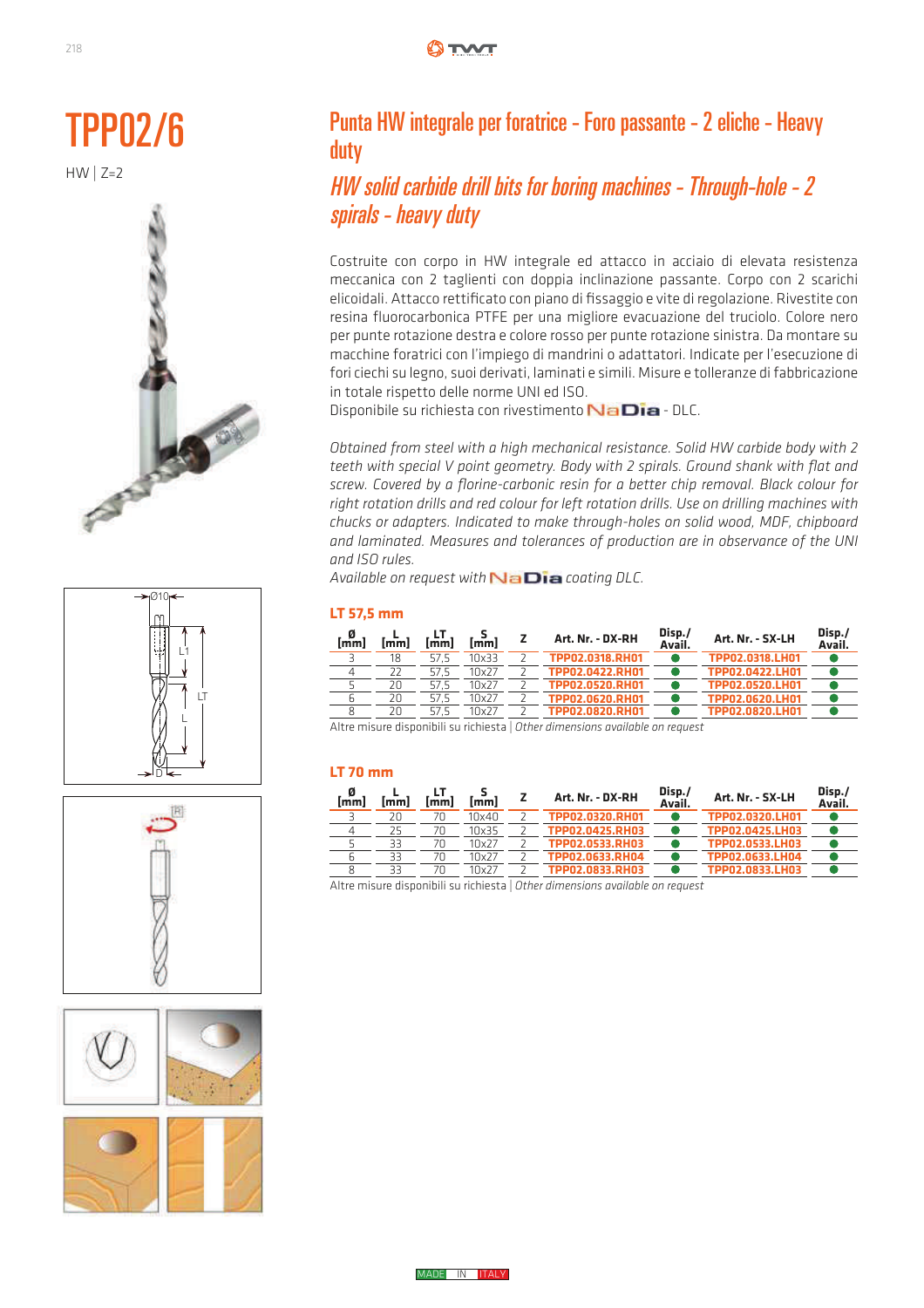









### Punta HW integrale per foratrice - Foro passante - 2 eliche - Heavy duty

### HW solid carbide drill bits for boring machines - Through-hole - 2 spirals - heavy duty

Costruite con corpo in HW integrale ed attacco in acciaio di elevata resistenza meccanica con 2 taglienti con doppia inclinazione passante. Corpo con 2 scarichi elicoidali. Attacco rettificato con piano di fissaggio e vite di regolazione. Rivestite con resina fluorocarbonica PTFE per una migliore evacuazione del truciolo. Colore nero per punte rotazione destra e colore rosso per punte rotazione sinistra. Da montare su macchine foratrici con l'impiego di mandrini o adattatori. Indicate per l'esecuzione di fori ciechi su legno, suoi derivati, laminati e simili. Misure e tolleranze di fabbricazione in totale rispetto delle norme UNI ed ISO. ȐȉȁȍȆȌȚȄȐȁȄȏȊǿ

Disponibile su richiesta con rivestimento  $N$ a Dia - DLC.

Obtained from steel with a high mechanical resistance. Solid HW carbide body with 2 *teeth with special V point geometry. Body with 2 spirals. Ground shank with flat and*  screw. Covered by a florine-carbonic resin for a better chip removal. Black colour for right rotation drills and red colour for left rotation drills. Use on drilling machines with chucks or adapters. Indicated to make through-holes on solid wood, MDF, chipboard *and laminated. Measures and tolerances of production are in observance of the UNI and ISO rules.*

Available on request with **NaDia** coating DLC.

#### **LT 57,5 mm**

| . 0<br>[mm] | <b>Imml</b> | <b>Imml</b> | [mm]  | Art. Nr. - DX-RH | Disp./<br>Avail. | Art. Nr. - SX-LH | Disp./<br>Avail. |
|-------------|-------------|-------------|-------|------------------|------------------|------------------|------------------|
|             | 18          | 57.5        | 10x33 | TPP02.0318.RH01  |                  | TPP02.0318.LH01  |                  |
|             |             | 57.5        | 10x27 | TPP02.0422.RH01  |                  | TPP02.0422.LH01  |                  |
|             | 20          | 57.5        | 10x27 | TPP02.0520.RH01  |                  | TPP02.0520.LH01  |                  |
| h           | 20          | 57.5        | 10x27 | TPP02.0620.RH01  |                  | TPP02.0620.LH01  |                  |
|             | 2Π          | 57.5        | 10x27 | TPPN2.N82N.RHN1  |                  | TPP02.0820.LH01  |                  |

Altre misure disponibili su richiesta | *Other dimensions available on request*

#### **LT 70 mm**

| 0<br>[mm] | [mm] | <i>Imml</i> | lmml  | Art. Nr. - DX-RH | Disp./<br>Avail. | Art. Nr. - SX-LH | Disp./<br>Avail. |
|-----------|------|-------------|-------|------------------|------------------|------------------|------------------|
|           | 2Π   |             | 10x40 | TPP02.0320.RH01  |                  | TPP02.0320.LH01  |                  |
|           | 25   |             | 10x35 | TPP02.0425.RH03  |                  | TPP02.0425.LH03  |                  |
|           | 33   |             | 10x27 | TPP02.0533.RH03  |                  | TPP02.0533.LH03  |                  |
|           | 33   |             | 10x27 | TPP02.0633.RH04  |                  | TPP02.0633.LH04  |                  |
|           | 33   |             | 10x27 | TPP02.0833.RH03  |                  | TPP02.0833.LH03  |                  |

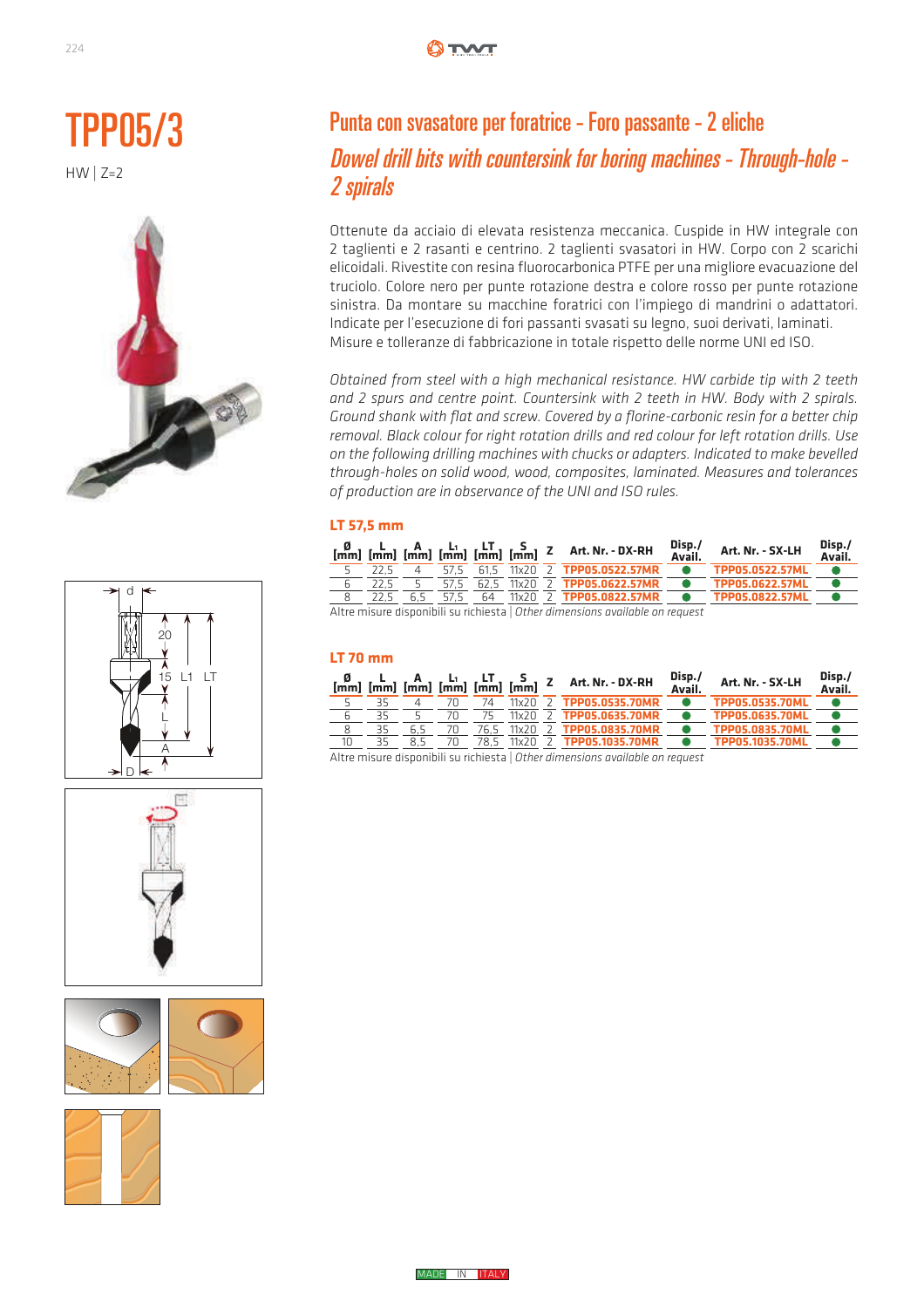











### Punta con svasatore per foratrice - Foro passante - 2 eliche Dowel drill bits with countersink for boring machines - Through-hole - 2 spirals

Ottenute da acciaio di elevata resistenza meccanica. Cuspide in HW integrale con 2 taglienti e 2 rasanti e centrino. 2 taglienti svasatori in HW. Corpo con 2 scarichi elicoidali. Rivestite con resina fluorocarbonica PTFE per una migliore evacuazione del truciolo. Colore nero per punte rotazione destra e colore rosso per punte rotazione sinistra. Da montare su macchine foratrici con l'impiego di mandrini o adattatori. Indicate per l'esecuzione di fori passanti svasati su legno, suoi derivati, laminati. Misure e tolleranze di fabbricazione in totale rispetto delle norme UNI ed ISO.

*Obtained from steel with a high mechanical resistance. HW carbide tip with 2 teeth and 2 spurs and centre point. Countersink with 2 teeth in HW. Body with 2 spirals.*  and 2 spars and centre point. Countersing with 2 tect in 11W. Body with 2 spirals.<br>Ground shank with flat and screw. Covered by a florine-carbonic resin for a better chip removal. Black colour for right rotation drills and red colour for left rotation drills. Use on the following drilling machines with chucks or adapters. Indicated to make bevelled through-holes on solid wood, wood, composites, laminated. Measures and tolerances of production are in observance of the UNI and ISO rules. Ground Shank with flat and Screw. Covered by a flohne-carbonic resin for a better chip

### **LT 57,5 mm**

|  |      |  |  | $\begin{bmatrix} 0 & L & A & L_1 \\ [mm] [mm] [mm] [mm] [mm] [mm] [mm] [mm] [mm] [mm] [mm] 2 & Art. Nr. - DX-RH \end{bmatrix}$ | Disp./<br>Avail. | Art. Nr. - SX-LH       | Disp./<br>Avail. |
|--|------|--|--|--------------------------------------------------------------------------------------------------------------------------------|------------------|------------------------|------------------|
|  | 22 S |  |  | 57.5 61.5 11x20 2 TPP05.0522.57MR                                                                                              |                  | <b>TPP05.0522.57ML</b> |                  |
|  |      |  |  | 57.5 62.5 11x20 2 <b>TPP05.0622.57MR</b>                                                                                       | $\bullet$        | TPP05.0622.57ML        |                  |
|  |      |  |  | 22.5 6.5 57.5 64 11x20 2 TPP05.0822.57MR                                                                                       | $\bullet$        | TPP05.0822.57ML        |                  |
|  |      |  |  | Altre misure disponibili su richiesta   Other dimensions available on request                                                  |                  |                        |                  |

#### **LT 70 mm** ! : 7"++6 : 7"++<

|    |    |    |    |      |           | $\begin{bmatrix} 0 & L \\ mm \end{bmatrix}$ $\begin{bmatrix} 0 & L \\ mm \end{bmatrix}$ $\begin{bmatrix} 0 & L_1 \\ mm \end{bmatrix}$ $\begin{bmatrix} 0 & L_1 \\ mm \end{bmatrix}$ $\begin{bmatrix} 0 & L_1 \\ mm \end{bmatrix}$ $\begin{bmatrix} 0 & L_1 \\ mm \end{bmatrix}$ $\begin{bmatrix} 0 & L_1 \\ mm \end{bmatrix}$ $\begin{bmatrix} 0 & L_1 \\ mm \end{bmatrix}$ $\begin{bmatrix} 0 & L_1 \\ mm \end{bmatrix}$ $\begin{bmatrix} 0 & L_1 \\ mm \end{$ | Disp./<br>Avail. | Art. Nr. - SX-LH       | Disp./<br>Avail. |
|----|----|----|----|------|-----------|-----------------------------------------------------------------------------------------------------------------------------------------------------------------------------------------------------------------------------------------------------------------------------------------------------------------------------------------------------------------------------------------------------------------------------------------------------------------|------------------|------------------------|------------------|
|    |    |    | 7Π | 74   | 11x20     | TPP05.0535.70MR                                                                                                                                                                                                                                                                                                                                                                                                                                                 |                  | TPP05.0535.70ML        |                  |
|    | 35 |    | 7Π |      | 11x202    | TPP05.0635.70MR                                                                                                                                                                                                                                                                                                                                                                                                                                                 |                  | <b>TPP05.0635.70ML</b> |                  |
|    | 35 |    | 70 | 76.5 | 11x20     | TPP05.0835.70MR                                                                                                                                                                                                                                                                                                                                                                                                                                                 |                  | TPP05.0835.70ML        |                  |
| 10 |    | 85 | 70 | 78.5 | $11x20$ 2 | TPP05.1035.70MR                                                                                                                                                                                                                                                                                                                                                                                                                                                 |                  | <b>TPP05.1035.70ML</b> |                  |
|    |    |    |    |      |           |                                                                                                                                                                                                                                                                                                                                                                                                                                                                 |                  |                        |                  |

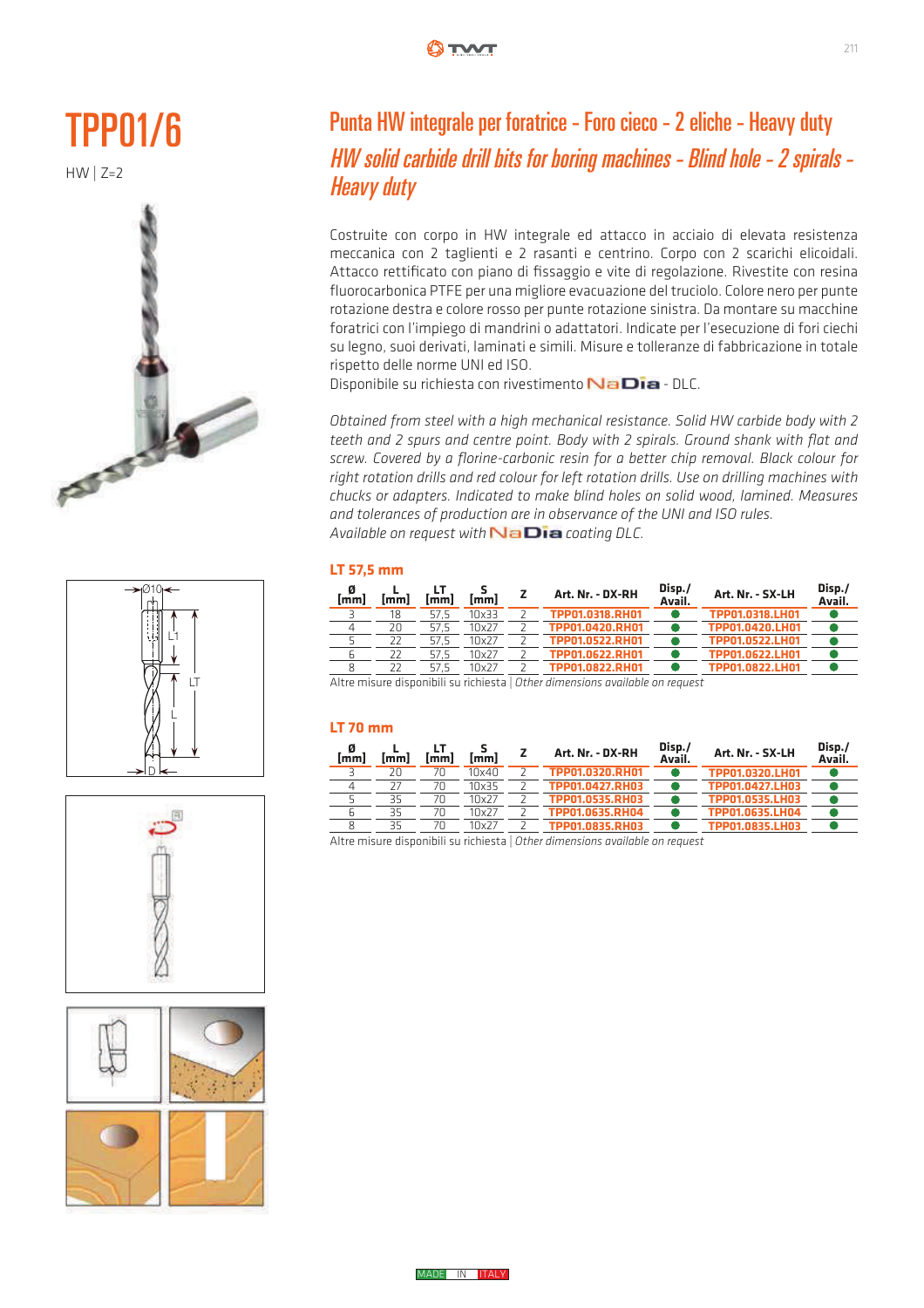







### Punta HW integrale per foratrice - Foro cieco - 2 eliche - Heavy duty HW solid carbide drill bits for boring machines - Blind hole - 2 spirals - Heavy duty

Costruite con corpo in HW integrale ed attacco in acciaio di elevata resistenza meccanica con 2 taglienti e 2 rasanti e centrino. Corpo con 2 scarichi elicoidali. ǰȁȄȏȊǿ Attacco rettificato con piano di fissaggio e vite di regolazione. Rivestite con resina fluorocarbonica PTFE per una migliore evacuazione del truciolo. Colore nero per punte rotazione destra e colore rosso per punte rotazione sinistra. Da montare su macchine foratrici con l'impiego di mandrini o adattatori. Indicate per l'esecuzione di fori ciechi su legno, suoi derivati, laminati e simili. Misure e tolleranze di fabbricazione in totale rispetto delle norme UNI ed ISO.

Disponibile su richiesta con rivestimento NaDia - DLC.

Obtained from steel with a high mechanical resistance. Solid HW carbide body with 2 teeth and 2 spurs and centre point. Body with 2 spirals. Ground shank with flat and **screw.** Covered by a florine-carbonic resin for a better chip removal. Black colour for right rotation drills and red colour for left rotation drills. Use on drilling machines with chucks or adapters. Indicated to make blind holes on solid wood, lamined. Measures and tolerances of production are in observance of the UNI and ISO rules. Available on request with **NaDia** coating DLC.

#### **LT 57,5 mm**

| . 0<br>[mm] | lmml | <b>Imml</b> | [mm]  | Art. Nr. - DX-RH | Disp./<br>Avail. | Art. Nr. - SX-LH | Disp./<br>Avail. |
|-------------|------|-------------|-------|------------------|------------------|------------------|------------------|
|             | 18   | 57.5        | 10x33 | TPP01.0318.RH01  |                  | TPP01.0318.LH01  |                  |
|             | 20   | 57.5        | 10x27 | TPP01.0420.RH01  |                  | TPP01.0420.LH01  |                  |
|             |      | 57.5        | 10x27 | TPP01.0522.RH01  |                  | TPP01.0522.LH01  |                  |
| h           |      | 57.5        | 10x27 | TPP01.0622.RH01  |                  | TPP01.0622.LH01  |                  |
| 8           | 22   | 57.5        | 10x27 | TPP01.0822.RH01  |                  | TPP01.0822.LH01  |                  |
|             |      |             |       |                  |                  |                  |                  |

Altre misure disponibili su richiesta | *Other dimensions available on request* 

#### **LT 70 mm**

| $\frac{0}{2}$ | $[\overline{\mathsf{mm}}]$ | <b>Imml</b> | $\frac{5}{2}$ | Art. Nr. - DX-RH                                                              | Disp./<br>Avail. | Art. Nr. - SX-LH | Disp./<br>Avail. |
|---------------|----------------------------|-------------|---------------|-------------------------------------------------------------------------------|------------------|------------------|------------------|
|               | 20                         | 7Π          | 10x40         | TPP01.0320.RH01                                                               |                  | TPP01.0320.LH01  |                  |
| 4             |                            | 70          | 10x35         | TPP01.0427.RH03                                                               |                  | TPP01.0427.LH03  |                  |
|               | 35                         | 70          | 10x27         | TPP01.0535.RH03                                                               |                  | TPP01.0535.LH03  |                  |
| ĥ             | 35                         | 7Π          | 10x27         | TPP01.0635.RH04                                                               |                  | TPP01.0635.LH04  |                  |
|               | 35                         | 70          | 10x27         | TPP01.0835.RH03                                                               |                  | TPP01.0835.LH03  |                  |
|               |                            |             |               | Altre misure disponibili su richiesta   Other dimensions available on request |                  |                  |                  |

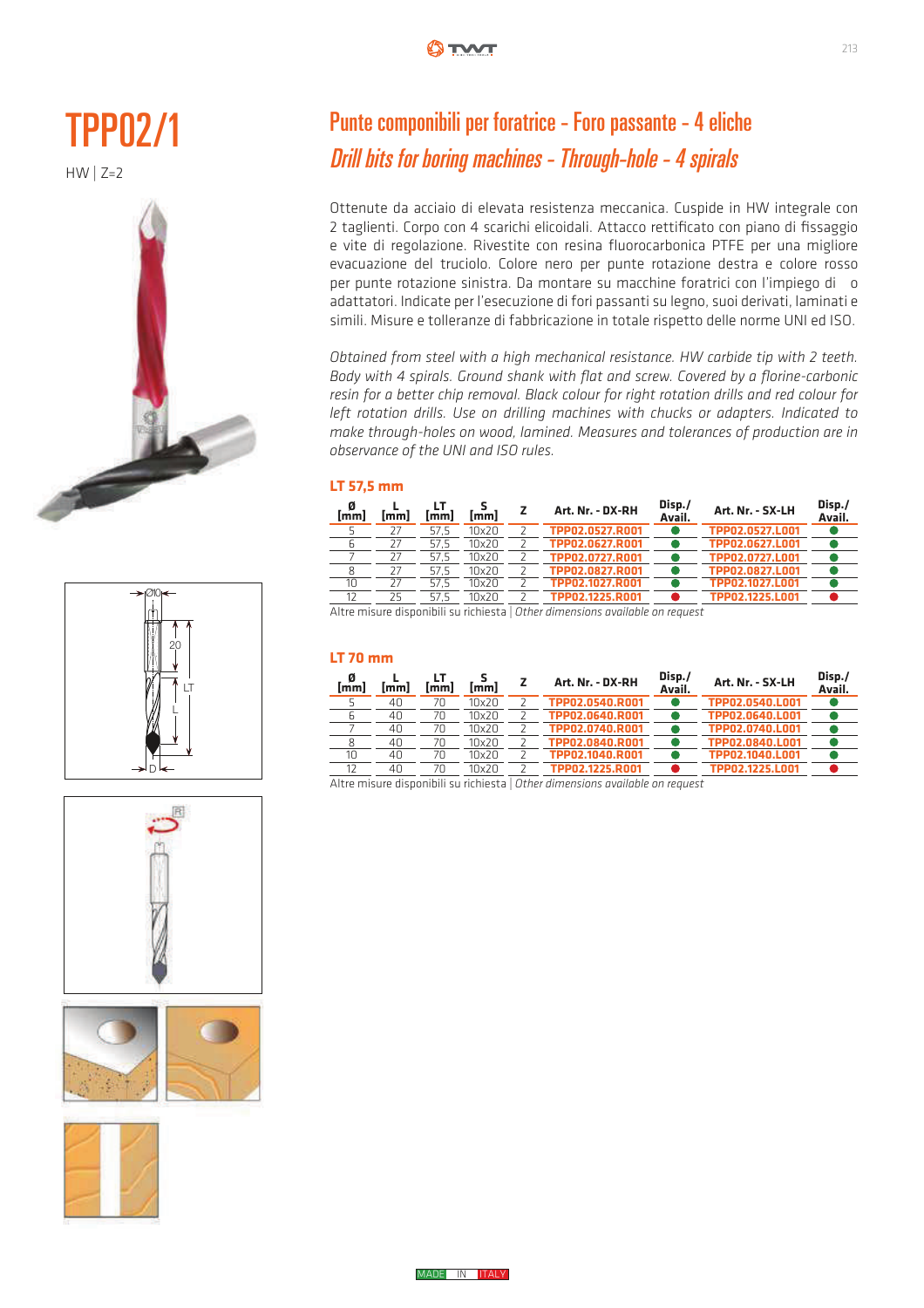











## Punte componibili per foratrice - Foro passante - 4 eliche Drill bits for boring machines - Through-hole - 4 spirals

Ottenute da acciaio di elevata resistenza meccanica. Cuspide in HW integrale con 2 taglienti. Corpo con 4 scarichi elicoidali. Attacco rettificato con piano di fissaggio e vite di regolazione. Rivestite con resina fluorocarbonica PTFE per una migliore evacuazione del truciolo. Colore nero per punte rotazione destra e colore rosso per punte rotazione sinistra. Da montare su macchine foratrici con l'impiego di o adattatori. Indicate per l'esecuzione di fori passanti su legno, suoi derivati, laminati e simili. Misure e tolleranze di fabbricazione in totale rispetto delle norme UNI ed ISO.

*Obtained from steel with a high mechanical resistance. HW carbide tip with 2 teeth. Body with 4 spirals. Ground shank with flat and screw. Covered by a florine-carbonic resin for a better chip removal. Black colour for right rotation drills and red colour for*  eft rotation drills. Use on drilling machines with chucks or adapters. Indicated to reft foldtion annished on wood, lamined. Measures and tolerances of production are in make through-holes on wood, lamined. Measures and tolerances of production are in observance of the UNI and ISO rules.  $\eta$  make through-noies on wood, famined. Measures and tolerances of production are in VvSWZSOQY

### **LT 57,5 mm**

| [mm] | imml | mml  | $\overline{\mathsf{mm}}$ | Art. Nr. - DX-RH | Disp./<br>Avail. | Art. Nr. - SX-LH | Disp./<br>Avail. |
|------|------|------|--------------------------|------------------|------------------|------------------|------------------|
|      | 27   | 57.5 | 10x20                    | TPP02.0527.R001  |                  | TPP02.0527.L001  |                  |
|      | 27   | 57.5 | 10x20                    | TPP02.0627.R001  |                  | TPP02.0627.L001  |                  |
|      | 27   | 57.5 | 10x20                    | TPP02.0727.R001  |                  | TPP02.0727.L001  |                  |
|      |      | 57.5 | 10x20                    | TPP02.0827.R001  |                  | TPP02.0827.L001  |                  |
| 10   | 27   | 57.5 | 10x20                    | TPP02.1027.R001  |                  | TPP02.1027.L001  |                  |
| 12   | 25   | 57.5 | 10x20                    | TPP02.1225.R001  |                  | TPP02.1225.1001  |                  |

Altre misure disponibili su richiesta | Other dimensions available on request

#### **LT 70 mm** ! ! ! : 7!!6 : 7!!<

| $\frac{\emptyset}{\text{[mm]}}$ | mml | lmml | $\sim$ | Art. Nr. - DX-RH | Disp./<br>Avail. | Art. Nr. - SX-LH | Disp./<br>Avail. |
|---------------------------------|-----|------|--------|------------------|------------------|------------------|------------------|
|                                 | 40  | 70   | 10x20  | TPP02.0540.R001  |                  | TPP02.0540.L001  |                  |
| b                               | 40  | 70   | 10x20  | TPP02.0640.R001  |                  | TPP02.0640.L001  |                  |
|                                 | 40  | 70   | 10x20  | TPP02.0740.R001  |                  | TPP02.0740.L001  |                  |
| 8                               | 40  | 70   | 10x20  | TPP02.0840.R001  |                  | TPP02.0840.L001  |                  |
| 10                              | 40  | 70   | 10x20  | TPP02.1040.R001  |                  | TPP02.1040.L001  |                  |
| 12                              | 40  | 7Π   | 10x20  | TPP02.1225.R001  |                  | TPP02.1225.L001  |                  |